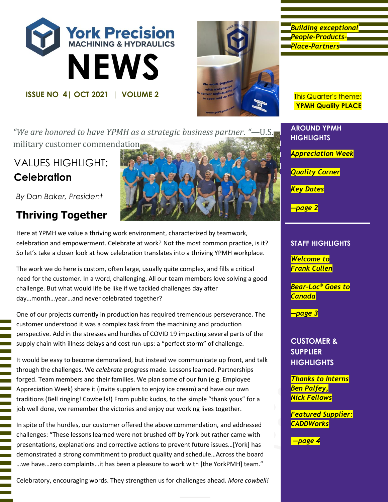



*Building exceptional People-Products-Place-Partners* 

**YPMH Quality PLACE**

*"We are honored to have YPMH as a strategic business partner. "—*U.S. military customer commendation

# VALUES HIGHLIGHT: **Celebration**

*By Dan Baker, President*

# **Thriving Together**



Here at YPMH we value a thriving work environment, characterized by teamwork, celebration and empowerment. Celebrate at work? Not the most common practice, is it? So let's take a closer look at how celebration translates into a thriving YPMH workplace.

The work we do here is custom, often large, usually quite complex, and fills a critical need for the customer. In a word, challenging. All our team members love solving a good challenge. But what would life be like if we tackled challenges day after day…month…year…and never celebrated together?

One of our projects currently in production has required tremendous perseverance. The customer understood it was a complex task from the machining and production perspective. Add in the stresses and hurdles of COVID 19 impacting several parts of the supply chain with illness delays and cost run-ups: a "perfect storm" of challenge.

It would be easy to become demoralized, but instead we communicate up front, and talk through the challenges. We *celebrate* progress made. Lessons learned. Partnerships forged. Team members and their families. We plan some of our fun (e.g. Employee Appreciation Week) share it (invite supplers to enjoy ice cream) and have our own traditions (Bell ringing! Cowbells!) From public kudos, to the simple "thank yous" for a job well done, we remember the victories and enjoy our working lives together.

In spite of the hurdles, our customer offered the above commendation, and addressed challenges: "These lessons learned were not brushed off by York but rather came with presentations, explanations and corrective actions to prevent future issues…[York] has demonstrated a strong commitment to product quality and schedule…Across the board …we have…zero complaints…it has been a pleasure to work with [the YorkPMH] team."

Celebratory, encouraging words. They strengthen us for challenges ahead. *More cowbell!*

**AROUND YPMH HIGHLIGHTS**

*Appreciation Week* 

*Quality Corner*

*Key Dates*

*—page 2*

#### **STAFF HIGHLIGHTS**

*Welcome to Frank Cullen*

*Bear-Loc® Goes to Canada* 

*—page 3*

**CUSTOMER & SUPPLIER HIGHLIGHTS**

*Thanks to Interns Ben Palfey, Nick Fellows*

*Featured Supplier: CADDWorks*

*—page 4*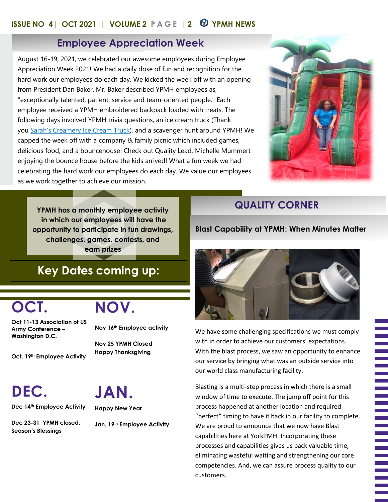### **ISSUE NO 4| OCT 2021 | VOLUME 2 PAGE | 2 YPMH NEWS**

## **Employee Appreciation Week**

August 16-19, 2021, we celebrated our awesome employees during Employee Appreciation Week 2021! We had a daily dose of fun and recognition for the hard work our employees do each day. We kicked the week off with an opening from President Dan Baker. Mr. Baker described YPMH employees as, "exceptionally talented, patient, service and team-oriented people." Each employee received a YPMH embroidered backpack loaded with treats. The following days involved YPMH trivia questions, an ice cream truck (Thank you [Sarah's Creamery Ice Cream Truck\)](https://www.linkedin.com/company/sarah-s-creamery-ice-cream-truck/), and a scavenger hunt around YPMH! We capped the week off with a company & family picnic which included games, delicious food, and a bouncehouse! Check out Quality Lead, Michelle Mummert enjoying the bounce house before the kids arrived! What a fun week we had celebrating the hard work our employees do each day. We value our employees as we work together to achieve our mission.



**YPMH has a monthly employee activity in which our employees will have the opportunity to participate in fun drawings, challenges, games, contests, and earn prizes**

# **Key Dates coming up:**

# **OCT.**

**NOV.**

**Oct 11-13 Association of US Army Conference – Washington D.C.**

**Oct. 19th Employee Activity**

**Nov 16th Employee activity**

**Nov 25 YPMH Closed Happy Thanksgiving**

**DEC.**

**Dec 14th Employee Activity**

**Dec 23-31 YPMH closed. Season's Blessings**

**JAN. Happy New Year**

**Jan. 19th Employee Activity**

## **QUALITY CORNER**

#### **Blast Capability at YPMH: When Minutes Matter**



We have some challenging specifications we must comply with in order to achieve our customers' expectations. With the blast process, we saw an opportunity to enhance our service by bringing what was an outside service into our world class manufacturing facility.

Blasting is a multi-step process in which there is a small window of time to execute. The jump off point for this process happened at another location and required "perfect" timing to have it back in our facility to complete. We are proud to announce that we now have Blast capabilities here at YorkPMH. Incorporating these processes and capabilities gives us back valuable time, eliminating wasteful waiting and strengthening our core competencies. And, we can assure process quality to our customers.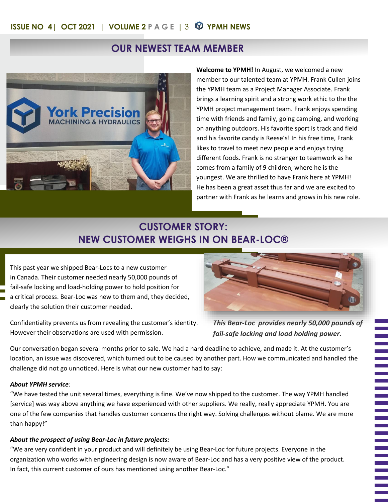## **OUR NEWEST TEAM MEMBER**



**Welcome to YPMH!** In August, we welcomed a new member to our talented team at YPMH. Frank Cullen joins the YPMH team as a Project Manager Associate. Frank brings a learning spirit and a strong work ethic to the the YPMH project management team. Frank enjoys spending time with friends and family, going camping, and working on anything outdoors. His favorite sport is track and field and his favorite candy is Reese's! In his free time, Frank likes to travel to meet new people and enjoys trying different foods. Frank is no stranger to teamwork as he comes from a family of 9 children, where he is the youngest. We are thrilled to have Frank here at YPMH! He has been a great asset thus far and we are excited to partner with Frank as he learns and grows in his new role.

## **CUSTOMER STORY: NEW CUSTOMER WEIGHS IN ON BEAR-LOC®**

This past year we shipped Bear-Locs to a new customer in Canada. Their customer needed nearly 50,000 pounds of fail-safe locking and load-holding power to hold position for a critical process. Bear-Loc was new to them and, they decided, clearly the solution their customer needed.

Confidentiality prevents us from revealing the customer's identity. However their observations are used with permission.



*This Bear-Loc provides nearly 50,000 pounds of fail-safe locking and load holding power.*

Our conversation began several months prior to sale. We had a hard deadline to achieve, and made it. At the customer's location, an issue was discovered, which turned out to be caused by another part. How we communicated and handled the challenge did not go unnoticed. Here is what our new customer had to say:

#### *About YPMH service:*

"We have tested the unit several times, everything is fine. We've now shipped to the customer. The way YPMH handled [service] was way above anything we have experienced with other suppliers. We really, really appreciate YPMH. You are one of the few companies that handles customer concerns the right way. Solving challenges without blame. We are more than happy!"

#### *About the prospect of using Bear-Loc in future projects:*

"We are very confident in your product and will definitely be using Bear-Loc for future projects. Everyone in the organization who works with engineering design is now aware of Bear-Loc and has a very positive view of the product. In fact, this current customer of ours has mentioned using another Bear-Loc."